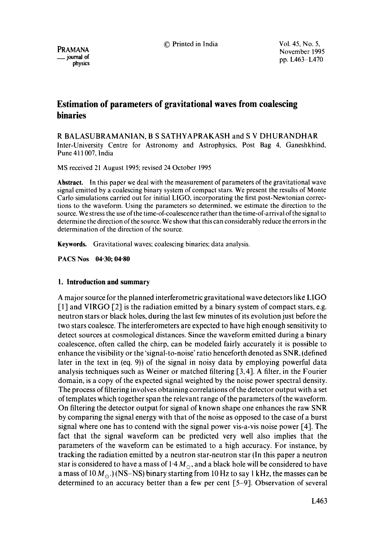© Printed in India **Vol.** 45, No. **5,** 

PRAMANA \_\_ journal **of**  physics November 1995 pp. L463-L470

# **Estimation of parameters of gravitational waves from coalescing binaries**

R BALASUBRAMANIAN, B S SATHYAPRAKASH and S V DHURANDHAR Inter-University Centre for Astronomy and Astrophysics, Post Bag 4, Ganeshkhind, Pune 411007, India

MS received 21 August 1995; revised 24 October 1995

**Abstract.** In this paper we deal with the measurement of parameters of the gravitational wave signal emitted by a coalescing binary system of compact stars. We present the results of Monte Carlo simulations carried out for initial LIGO, incorporating the first post-Newtonian corrections to the waveform. Using the parameters so determined, we estimate the direction to the source. We stress the use of the time-of-coalescence rather than the time-of-arrival of the signal to determine the direction of the source. We show that this can considerably reduce the errors in the determination of the direction of the source.

**Keywords.** Gravitational waves; coalescing binaries; data analysis.

**PACS Nos 04.30; 04.80** 

# **I. Introduction and summary**

A major source for the planned interferometric gravitational wave detectors like LIGO [1] and VIRGO [2] is the radiation emitted by a binary system of compact stars, e.g. neutron stars or black holes, during the last few minutes of its evolution just before the two stars coalesce. The interferometers are expected to have high enough sensitivity to detect sources at cosmological distances. Since the waveform emitted during a binary coalescence, often called the chirp, can be modeled fairly accurately it is possible to enhance the visibility or the 'signal-to-noise' ratio henceforth denoted as SNR, tdefined later in the text in (eq. 9)) of the signal in noisy data by employing powerful data analysis techniques such as Weiner or matched filtering [3, 4], A filter, in the Fourier domain, is a copy of the expected signal weighted by the noise power spectral density. The process of filtering involves obtaining correlations of the detector output with a set of templates which together span the relevant range of the parameters of the waveform. On filtering the detector output for signal of known shape one enhances the raw SNR by comparing the signal energy with that of the noise as opposed to the case of a burst signal where one has to contend with the signal power vis-a-vis noise power [4]. The fact that the signal waveform can be predicted very well also implies that the parameters of the waveform can be estimated to a high accuracy. For instance, by tracking the radiation emitted by a neutron star-neutron star (In this paper a neutron star is considered to have a mass of 1.4  $M_{\odot}$ , and a black hole will be considered to have a mass of 10  $M_{\odot}$ .) (NS-NS) binary starting from 10 Hz to say 1 kHz, the masses can be determined to an accuracy better than a few per cent [5-9]. Observation of several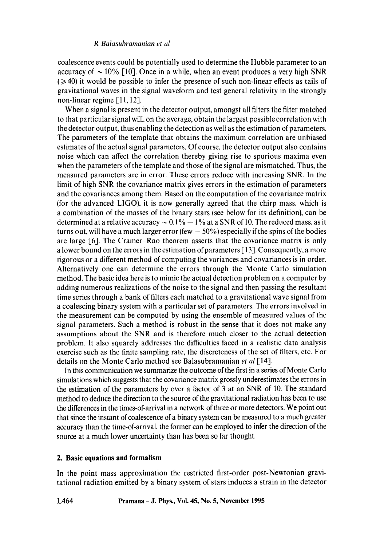coalescence events could be potentially used to determine the Hubble parameter to an accuracy of  $\sim$  10% [10]. Once in a while, when an event produces a very high SNR  $(\geq 40)$  it would be possible to infer the presence of such non-linear effects as tails of gravitational waves in the signal waveform and test general relativity in the strongly non-linear regime [11, 12].

When a signal is present in the detector output, amongst all filters the filter matched to that particular signal will, on the average, obtain the largest possible correlation with the detector output, thus enabling the detection as well as the estimation of parameters. The parameters of the template that obtains the maximum correlation are unbiased estimates of the actual signal parameters. Of course, the detector output also contains noise which can affect the correlation thereby giving rise to spurious maxima even when the parameters of the template and those of the signal are mismatched. Thus, the measured parameters are in error. These errors reduce with increasing SNR. In the limit of high SNR the covariance matrix gives errors in the estimation of parameters and the covariances among them. Based on the computation of the covariance matrix (for the advanced LIGO), it is now generally agreed that the chirp mass, which is a combination of the masses of the binary stars (see below for its definition), can be determined at a relative accuracy  $\sim 0.1\% - 1\%$  at a SNR of 10. The reduced mass, as it turns out, will have a much larger error (few  $-50\%$ ) especially if the spins of the bodies are large [6]. The Cramer-Rao theorem asserts that the covariance matrix is only a lower bound on the errors in the estimation of parameters [ 13]. Consequently, a more rigorous or a different method of computing the variances and covariances is in order. Alternatively one can determine the errors through the Monte Carlo simulation method. The basic idea here is to mimic the actual detection problem on a computer by adding numerous realizations of the noise to the signal and then passing the resultant time series through a bank of filters each matched to a gravitational wave signal from a coalescing binary system with a particular set of parameters. The errors involved in the measurement can be computed by using the ensemble of measured values of the signal parameters. Such a method is robust in the sense that it does not make any assumptions about the SNR and is therefore much closer to the actual detection problem. It also squarely addresses the difficulties faced in a realistic data analysis exercise such as the finite sampling rate, the discreteness of the set of filters, etc. For details on the Monte Carlo method see Balasubramanian *et al* [14].

In this communication we summarize the outcome of the first in a series of Monte Carlo simulations which suggests that the covariance matrix grossly underestimates the errors in the estimation of the parameters by over a factor of 3 at an SNR of 10. The standard method to deduce the direction to the source of the gravitational radiation has been to use the differences in the times-of-arrival in a network of three or more detectors. We point out that since the instant of coalescence of a binary system can be measured to a much greater accuracy than the time-of-arrival, the former can be employed to infer the direction of the source at a much lower uncertainty than has been so far thought.

# **2. Basic equations and formalism**

**In the point mass approximation the restricted first-order post-Newtonian gravitational radiation emitted by a binary system of stars induces a strain in the detector**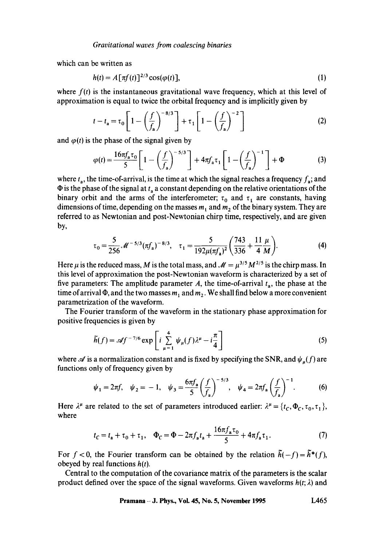which can be written as

$$
h(t) = A[\pi f(t)]^{2/3} \cos(\varphi(t)), \qquad (1)
$$

where  $f(t)$  is the instantaneous gravitational wave frequency, which at this level of approximation is equal to twice the orbital frequency and is implicitly given by

$$
t - t_{\mathbf{a}} = \tau_0 \left[ 1 - \left(\frac{f}{f_{\mathbf{a}}}\right)^{-8/3} \right] + \tau_1 \left[ 1 - \left(\frac{f}{f_{\mathbf{a}}}\right)^{-2} \right]
$$
 (2)

and  $\varphi(t)$  is the phase of the signal given by

$$
\varphi(t) = \frac{16\pi f_a \tau_0}{5} \left[ 1 - \left(\frac{f}{f_a}\right)^{-5/3} \right] + 4\pi f_a \tau_1 \left[ 1 - \left(\frac{f}{f_a}\right)^{-1} \right] + \Phi \tag{3}
$$

where  $t_a$ , the time-of-arrival, is the time at which the signal reaches a frequency  $f_a$ ; and  $\Phi$  is the phase of the signal at  $t_a$  a constant depending on the relative orientations of the binary orbit and the arms of the interferometer;  $\tau_0$  and  $\tau_1$  are constants, having dimensions of time, depending on the masses  $m_1$  and  $m_2$  of the binary system. They are referred to as Newtonian and post-Newtonian chirp time, respectively, and are given by,

$$
\tau_0 = \frac{5}{256} \mathcal{M}^{-5/3} (\pi f_a)^{-8/3}, \quad \tau_1 = \frac{5}{192 \mu (\pi f_a)^2} \left( \frac{743}{336} + \frac{11 \mu}{4 M} \right). \tag{4}
$$

Here  $\mu$  is the reduced mass, M is the total mass, and  $\mathcal{M}=\mu^{3/5} M^{2/5}$  is the chirp mass. In this level of approximation the post-Newtonian waveform is characterized by a set of five parameters: The amplitude parameter A, the time-of-arrival  $t<sub>a</sub>$ , the phase at the time of arrival  $\Phi$ , and the two masses  $m_1$  and  $m_2$ . We shall find below a more convenient parametrization of the waveform.

The Fourier transform of the waveform in the stationary phase approximation for positive frequencies is given by

$$
\widetilde{h}(f) = \mathscr{A} f^{-7/6} \exp\left[i \sum_{\mu=1}^{4} \psi_{\mu}(f) \lambda^{\mu} - i \frac{\pi}{4}\right]
$$
 (5)

where  $\mathscr A$  is a normalization constant and is fixed by specifying the SNR, and  $\psi_n(f)$  are functions only of frequency given by

$$
\psi_1 = 2\pi f, \quad \psi_2 = -1, \quad \psi_3 = \frac{6\pi f_a}{5} \left(\frac{f}{f_a}\right)^{-5/3}, \quad \psi_4 = 2\pi f_a \left(\frac{f}{f_a}\right)^{-1}.
$$
 (6)

Here  $\lambda^{\mu}$  are related to the set of parameters introduced earlier:  $\lambda^{\mu} = \{t_c, \Phi_c, \tau_o, \tau_1\}$ , where

$$
t_c = t_a + \tau_0 + \tau_1
$$
,  $\Phi_c = \Phi - 2\pi f_a t_a + \frac{16\pi f_a \tau_0}{5} + 4\pi f_a \tau_1$ . (7)

For  $f < 0$ , the Fourier transform can be obtained by the relation  $\tilde{h}(-f) = \tilde{h}^*(f)$ , obeyed by real functions *h(t).* 

Central to the computation of the covariance matrix of the parameters is the scalar product defined over the space of the signal waveforms. Given waveforms  $h(t; \lambda)$  and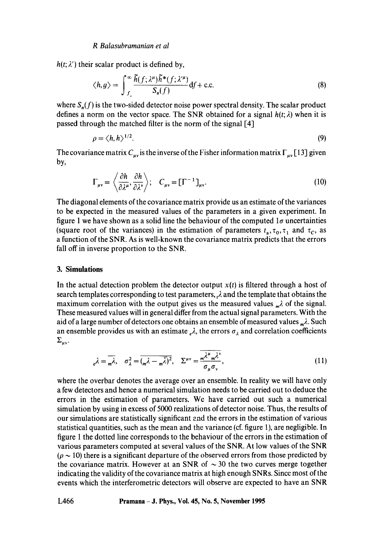$h(t; \lambda')$  their scalar product is defined by,

$$
\langle h, g \rangle = \int_{f}^{\infty} \frac{\tilde{h}(f; \lambda^{\mu}) \tilde{h}^*(f; \lambda^{\prime \mu})}{S_n(f)} df + \text{c.c.}
$$
 (8)

where  $S_n(f)$  is the two-sided detector noise power spectral density. The scalar product defines a norm on the vector space. The SNR obtained for a signal  $h(t; \lambda)$  when it is passed through the matched filter is the norm of the signal [4]

$$
\rho = \langle h, h \rangle^{1/2}.
$$
 (9)

The covariance matrix  $C_{\mu\nu}$  is the inverse of the Fisher information matrix  $\Gamma_{\mu\nu}$  [13] given by,

$$
\Gamma_{\mu\nu} = \left\langle \frac{\partial h}{\partial \lambda^{\mu}}, \frac{\partial h}{\partial \lambda^{\nu}} \right\rangle; \quad C_{\mu\nu} = \left[\Gamma^{-1}\right]_{\mu\nu}.
$$
 (10)

The diagonal elements of the covariance matrix provide us an estimate of the variances to be expected in the measured values of the parameters in a given experiment. In figure 1 we have shown as a solid line the behaviour of the computed  $1\sigma$  uncertainties (square root of the variances) in the estimation of parameters  $t_a, \tau_0, \tau_1$  and  $\tau_c$ , as a function of the SNR. As is well-known the covariance matrix predicts that the errors fall off in inverse proportion to the SNR.

### **3. Simulations**

In the actual detection problem the detector output  $x(t)$  is filtered through a host of search templates corresponding to test parameters,  $\lambda$  and the template that obtains the maximum correlation with the output gives us the measured values  $\mu\lambda$  of the signal. These measured values will in general differ from the actual signal parameters. With the aid of a large number of detectors one obtains an ensemble of measured values  $_m\lambda$ . Such an ensemble provides us with an estimate  $\epsilon_{\alpha}$ , the errors  $\sigma_{\lambda}$  and correlation coefficients  $\Sigma_{\mu\nu}$ .

$$
e^{\lambda} = \overline{m\lambda}, \quad \sigma_{\lambda}^2 = \overline{(\overline{m\lambda} - \overline{m\lambda})^2}, \quad \Sigma^{\mu\nu} = \frac{\overline{m\lambda^{\mu}m\lambda^{\nu}}}{\sigma_{\mu}\sigma_{\nu}},
$$
(11)

where the overbar denotes the average over an ensemble. In reality we will have only a few detectors and hence a numerical simulation needs to be carried out to.deduce the errors in the estimation of parameters. We have carried out such a numerical simulation by using in excess of 5000 realizations of detector noise. Thus, the results of our simulations are statistically significant and the errors in the estimation of various statistical quantities, such as the mean and the variance (cf. figure 1), are negligible. In figure 1 the dotted line corresponds to the behaviour of the errors in the estimation of various parameters computed at several values of the SNR. At low values of the SNR  $(\rho \sim 10)$  there is a significant departure of the observed errors from those predicted by the covariance matrix. However at an SNR of  $\sim$  30 the two curves merge together indicating the validity of the covariance matrix at high enough SNRs. Since most of the events which the interferometric detectors will observe are expected to have an SNR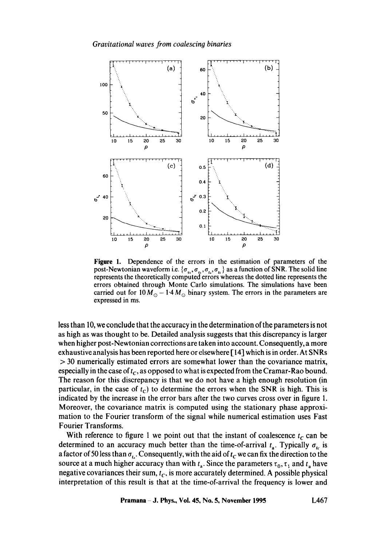*Gravitational waves from coalescing binaries* 



**Figure** 1. Dependence of the errors in the estimation of parameters of the post-Newtonian waveform i.e.  $\{\sigma_n, \sigma_t, \sigma_t, \sigma_t\}$  as a function of SNR. The solid line represents the theoretically computed errors whereas the dotted line represents the errors obtained through Monte Carlo simulations. The simulations have been carried out for  $10 M_{\odot} - 1.4 M_{\odot}$  binary system. The errors in the parameters are expressed in ms.

less than 10, we conclude that the accuracy in the determination of the parameters is not as high as was thought to be. Detailed analysis suggests that this discrepancy is larger when higher post-Newtonian corrections are taken into account. Consequently, a more exhaustive analysis has been reported here or elsewhere [ 14] which is in order. At SNRs > 30 numerically estimated errors are somewhat lower than the covariance matrix, especially in the case of  $t_c$ , as opposed to what is expected from the Cramar-Rao bound. The reason for this discrepancy is that we do not have a high enough resolution (in particular, in the case of  $t_c$ ) to determine the errors when the SNR is high. This is indicated by the increase in the error bars after the two curves cross over in figure 1. Moreover, the covariance matrix is computed using the stationary phase approximation to the Fourier transform of the signal while numerical estimation uses Fast Fourier Transforms.

With reference to figure 1 we point out that the instant of coalescence  $t_c$  can be determined to an accuracy much better than the time-of-arrival  $t_a$ . Typically  $\sigma_{tc}$  is a factor of 50 less than  $\sigma_{t}$ . Consequently, with the aid of  $t_c$  we can fix the direction to the source at a much higher accuracy than with  $t_a$ . Since the parameters  $\tau_0$ ,  $\tau_1$  and  $t_a$  have negative covariances their sum,  $t_c$ , is more accurately determined. A possible physical interpretation of this result is that at the time-of-arrival the frequency is lower and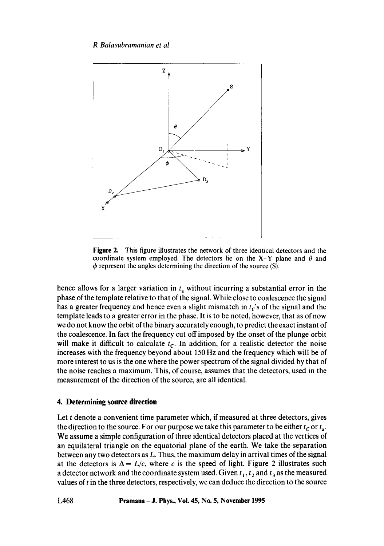

**Figure** 2. This figure illustrates the network of three identical detectors and the coordinate system employed. The detectors lie on the X-Y plane and  $\theta$  and  $\phi$  represent the angles determining the direction of the source (S).

hence allows for a larger variation in  $t_a$  without incurring a substantial error in the phase of the template relative to that of the signal. While close to coalescence the signal has a greater frequency and hence even a slight mismatch in  $t<sub>c</sub>$ 's of the signal and the template leads to a greater error in the phase. It is to be noted, however, that as of now we do not know the orbit of the binary accurately enough, to predict the exact instant of the coalescence. In fact the frequency cut off imposed by the onset of the plunge orbit will make it difficult to calculate  $t_c$ . In addition, for a realistic detector the noise increases with the frequency beyond about 150 Hz and the frequency which will be of more interest to us is the one where the power spectrum of the signal divided by that of the noise reaches a maximum. This, of course, assumes that the detectors, used in the measurement of the direction of the source, are all identical.

# **4. Determining source direction**

Let t denote a convenient time parameter which, if measured at three detectors, gives the direction to the source. For our purpose we take this parameter to be either  $t_c$  or  $t_a$ . We assume a simple configuration of three identical detectors placed at the vertices of an equilateral triangle on the equatorial plane of the earth. We take the separation between any two detectors as L. Thus, the maximum delay in arrival times of the signal at the detectors is  $\Delta = L/c$ , where c is the speed of light. Figure 2 illustrates such a detector network and the coordinate system used. Given  $t_1, t_2$  and  $t_3$  as the measured values of  $t$  in the three detectors, respectively, we can deduce the direction to the source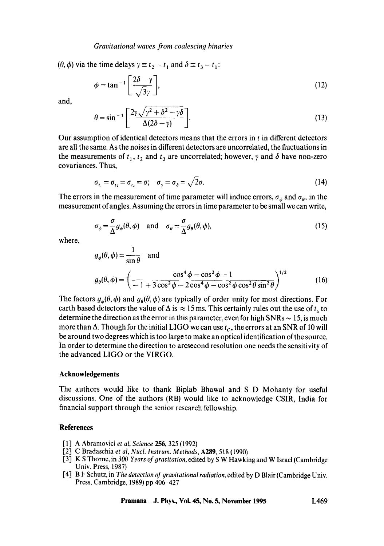### *Gravitational waves from coalescing binaries*

 $(\theta, \phi)$  via the time delays  $\gamma \equiv t_2 - t_1$  and  $\delta \equiv t_3 - t_1$ :

$$
\phi = \tan^{-1} \left[ \frac{2\delta - \gamma}{\sqrt{3}\gamma} \right],\tag{12}
$$

and,

$$
\theta = \sin^{-1}\left[\frac{2\gamma\sqrt{\gamma^2 + \delta^2 - \gamma\delta}}{\Delta(2\delta - \gamma)}\right].
$$
\n(13)

Our assumption of identical detectors means that the errors in  $t$  in different detectors are all the same. As the noises in different detectors are uncorrelated, the fluctuations in the measurements of  $t_1$ ,  $t_2$  and  $t_3$  are uncorrelated; however,  $\gamma$  and  $\delta$  have non-zero covariances. Thus,

$$
\sigma_{t_1} = \sigma_{t_2} = \sigma_{t_3} = \sigma; \quad \sigma_{\gamma} = \sigma_{\delta} = \sqrt{2}\sigma. \tag{14}
$$

The errors in the measurement of time parameter will induce errors,  $\sigma_{\phi}$  and  $\sigma_{\theta}$ , in the measurement of angles. Assuming the errors in time parameter to be small we can write,

$$
\sigma_{\phi} = \frac{\sigma}{\Delta} g_{\phi}(\theta, \phi) \quad \text{and} \quad \sigma_{\theta} = \frac{\sigma}{\Delta} g_{\theta}(\theta, \phi), \tag{15}
$$

where,

$$
g_{\phi}(\theta,\phi) = \frac{1}{\sin\theta} \quad \text{and}
$$

$$
g_{\theta}(\theta,\phi) = \left(\frac{\cos^4\phi - \cos^2\phi - 1}{-1 + 3\cos^2\phi - 2\cos^4\phi - \cos^2\phi\cos^2\theta\sin^2\theta}\right)^{1/2} \tag{16}
$$

The factors  $g_{\phi}(\theta, \phi)$  and  $g_{\theta}(\theta, \phi)$  are typically of order unity for most directions. For earth based detectors the value of  $\Delta$  is  $\approx 15$  ms. This certainly rules out the use of  $t_a$  to determine the direction as the error in this parameter, even for high SNRs  $\sim$  15, is much more than  $\Delta$ . Though for the initial LIGO we can use  $t_c$ , the errors at an SNR of 10 will be around two degrees which is too large to make an optical identification of the source. In order to determine the direction to arcsecond resolution one needs the sensitivity of the advanced LIGO or the VIRGO.

### **Acknowledgements**

The authors would like to thank Biplab Bhawal and S D Mohanty for useful discussions. One of the authors (RB) would like to acknowledge CSIR, India for financial support through the senior research fellowship.

### **References**

- [1] A Abramovici *et al, Science* 256, 325 (1992)
- [2] C Bradaschia *et al, Nuct. Instrum. Methods,* A259, 518 (1990)
- [3] K S Thorne, in *300 Years of gravitation,* edited by S W Hawking and W Israel (Cambridge Univ. Press, 1987)
- [4] B F Schutz, in *The detection of gravitational radiation,* edited by D Blair (Cambridge Univ. Press, Cambridge, 1989) pp 406-427